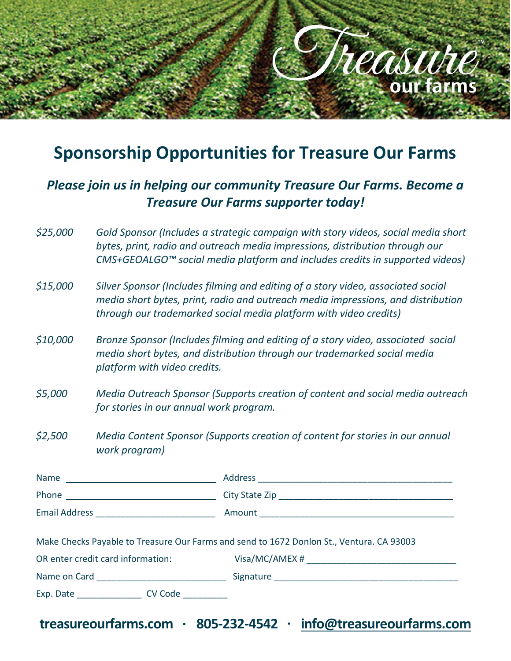

# **Sponsorship Opportunities for Treasure Our Farms**

### *Please join us in helping our community Treasure Our Farms. Become a Treasure Our Farms supporter today!*

- *\$25,000 Gold Sponsor (Includes a strategic campaign with story videos, social media short bytes, print, radio and outreach media impressions, distribution through our CMS+GEOALGO™ social media platform and includes credits in supported videos)*
- *\$15,000 Silver Sponsor (Includes filming and editing of a story video, associated social media short bytes, print, radio and outreach media impressions, and distribution through our trademarked social media platform with video credits)*
- *\$10,000 Bronze Sponsor (Includes filming and editing of a story video, associated social media short bytes, and distribution through our trademarked social media platform with video credits.*
- *\$5,000 Media Outreach Sponsor (Supports creation of content and social media outreach for stories in our annual work program.*
- *\$2,500 Media Content Sponsor (Supports creation of content for stories in our annual work program)*

| Make Checks Payable to Treasure Our Farms and send to 1672 Donlon St., Ventura. CA 93003<br>OR enter credit card information: Visa/MC/AMEX # _______________________________ |
|------------------------------------------------------------------------------------------------------------------------------------------------------------------------------|
|                                                                                                                                                                              |
|                                                                                                                                                                              |
|                                                                                                                                                                              |
|                                                                                                                                                                              |
|                                                                                                                                                                              |

**treasureourfarms.com · 805-232-4542 · [info@treasureourfarms.com](mailto:info@treasureourfarms.com)**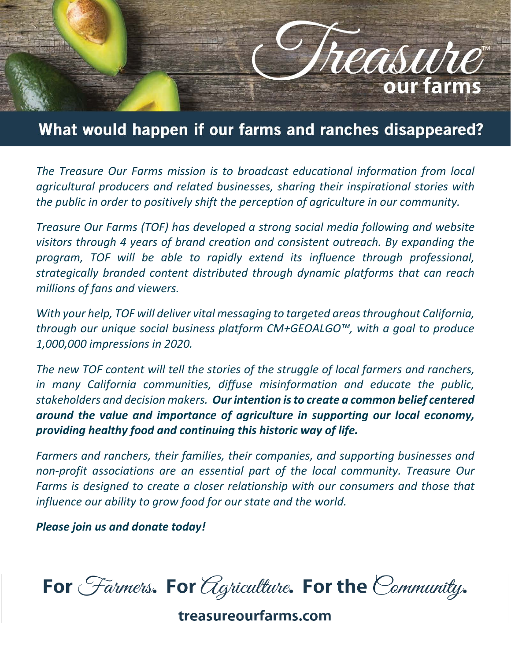

## What would happen if our farms and ranches disappeared?

*The Treasure Our Farms mission is to broadcast educational information from local agricultural producers and related businesses, sharing their inspirational stories with the public in order to positively shift the perception of agriculture in our community.*

*Treasure Our Farms (TOF) has developed a strong social media following and website visitors through 4 years of brand creation and consistent outreach. By expanding the program, TOF will be able to rapidly extend its influence through professional, strategically branded content distributed through dynamic platforms that can reach millions of fans and viewers.*

*With your help, TOF will deliver vital messaging to targeted areas throughout California, through our unique social business platform CM+GEOALGO™, with a goal to produce 1,000,000 impressions in 2020.*

*The new TOF content will tell the stories of the struggle of local farmers and ranchers, in many California communities, diffuse misinformation and educate the public, stakeholders and decision makers. Our intention is to create a common belief centered around the value and importance of agriculture in supporting our local economy, providing healthy food and continuing this historic way of life.*

*Farmers and ranchers, their families, their companies, and supporting businesses and non-profit associations are an essential part of the local community. Treasure Our Farms is designed to create a closer relationship with our consumers and those that influence our ability to grow food for our state and the world.*

*Please join us and donate today!*

For Farmers. For Agriculture. For the Community.

treasureourfarms.com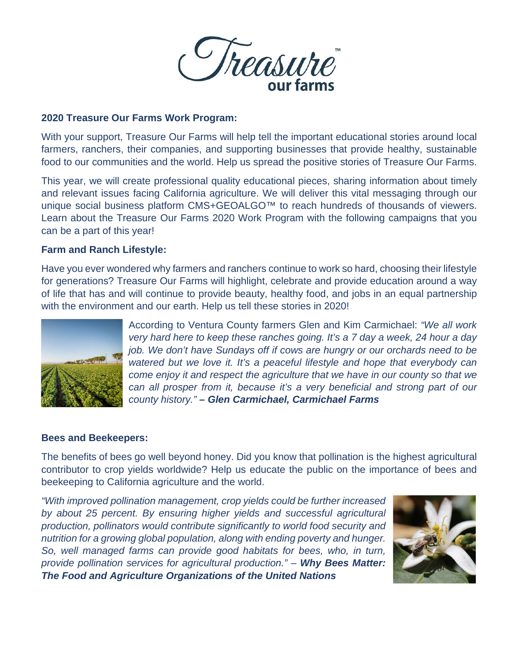

#### **2020 Treasure Our Farms Work Program:**

With your support, Treasure Our Farms will help tell the important educational stories around local farmers, ranchers, their companies, and supporting businesses that provide healthy, sustainable food to our communities and the world. Help us spread the positive stories of Treasure Our Farms.

This year, we will create professional quality educational pieces, sharing information about timely and relevant issues facing California agriculture. We will deliver this vital messaging through our unique social business platform CMS+GEOALGO™ to reach hundreds of thousands of viewers. Learn about the Treasure Our Farms 2020 Work Program with the following campaigns that you can be a part of this year!

#### **Farm and Ranch Lifestyle:**

Have you ever wondered why farmers and ranchers continue to work so hard, choosing their lifestyle for generations? Treasure Our Farms will highlight, celebrate and provide education around a way of life that has and will continue to provide beauty, healthy food, and jobs in an equal partnership with the environment and our earth. Help us tell these stories in 2020!



According to Ventura County farmers Glen and Kim Carmichael: *"We all work very hard here to keep these ranches going. It's a 7 day a week, 24 hour a day job. We don't have Sundays off if cows are hungry or our orchards need to be watered but we love it. It's a peaceful lifestyle and hope that everybody can come enjoy it and respect the agriculture that we have in our county so that we can all prosper from it, because it's a very beneficial and strong part of our county history." – Glen Carmichael, Carmichael Farms*

#### **Bees and Beekeepers:**

The benefits of bees go well beyond honey. Did you know that pollination is the highest agricultural contributor to crop yields worldwide? Help us educate the public on the importance of bees and beekeeping to California agriculture and the world.

*"With improved pollination management, crop yields could be further increased by about 25 percent. By ensuring higher yields and successful agricultural production, pollinators would contribute significantly to world food security and nutrition for a growing global population, along with ending poverty and hunger. So, well managed farms can provide good habitats for bees, who, in turn, provide pollination services for agricultural production." – Why Bees Matter: The Food and Agriculture Organizations of the United Nations*